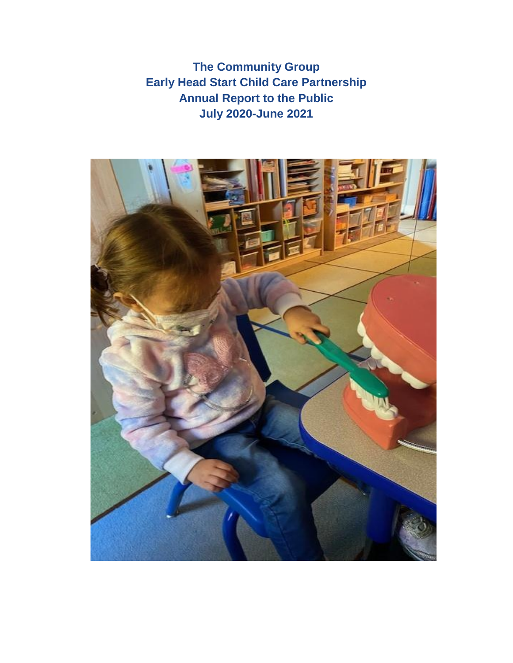**The Community Group Early Head Start Child Care Partnership Annual Report to the Public July 2020-June 2021**

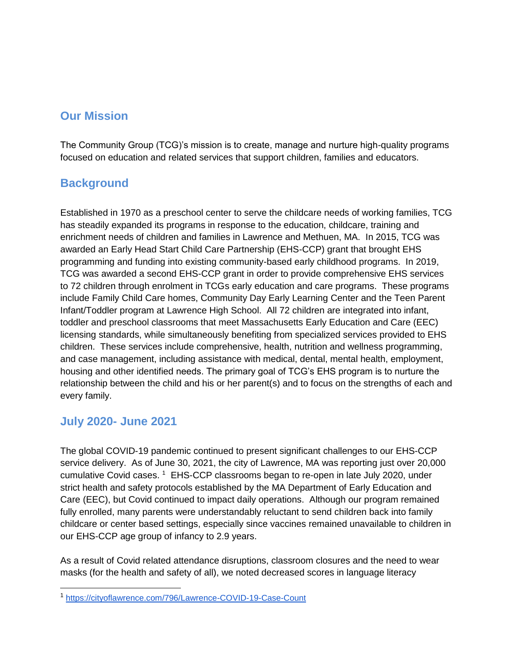## **Our Mission**

The Community Group (TCG)'s mission is to create, manage and nurture high-quality programs focused on education and related services that support children, families and educators.

# **Background**

Established in 1970 as a preschool center to serve the childcare needs of working families, TCG has steadily expanded its programs in response to the education, childcare, training and enrichment needs of children and families in Lawrence and Methuen, MA. In 2015, TCG was awarded an Early Head Start Child Care Partnership (EHS-CCP) grant that brought EHS programming and funding into existing community-based early childhood programs. In 2019, TCG was awarded a second EHS-CCP grant in order to provide comprehensive EHS services to 72 children through enrolment in TCGs early education and care programs. These programs include Family Child Care homes, Community Day Early Learning Center and the Teen Parent Infant/Toddler program at Lawrence High School. All 72 children are integrated into infant, toddler and preschool classrooms that meet Massachusetts Early Education and Care (EEC) licensing standards, while simultaneously benefiting from specialized services provided to EHS children. These services include comprehensive, health, nutrition and wellness programming, and case management, including assistance with medical, dental, mental health, employment, housing and other identified needs. The primary goal of TCG's EHS program is to nurture the relationship between the child and his or her parent(s) and to focus on the strengths of each and every family.

### **July 2020- June 2021**

The global COVID-19 pandemic continued to present significant challenges to our EHS-CCP service delivery. As of June 30, 2021, the city of Lawrence, MA was reporting just over 20,000 cumulative Covid cases. <sup>1</sup> EHS-CCP classrooms began to re-open in late July 2020, under strict health and safety protocols established by the MA Department of Early Education and Care (EEC), but Covid continued to impact daily operations. Although our program remained fully enrolled, many parents were understandably reluctant to send children back into family childcare or center based settings, especially since vaccines remained unavailable to children in our EHS-CCP age group of infancy to 2.9 years.

As a result of Covid related attendance disruptions, classroom closures and the need to wear masks (for the health and safety of all), we noted decreased scores in language literacy

<sup>1</sup> <https://cityoflawrence.com/796/Lawrence-COVID-19-Case-Count>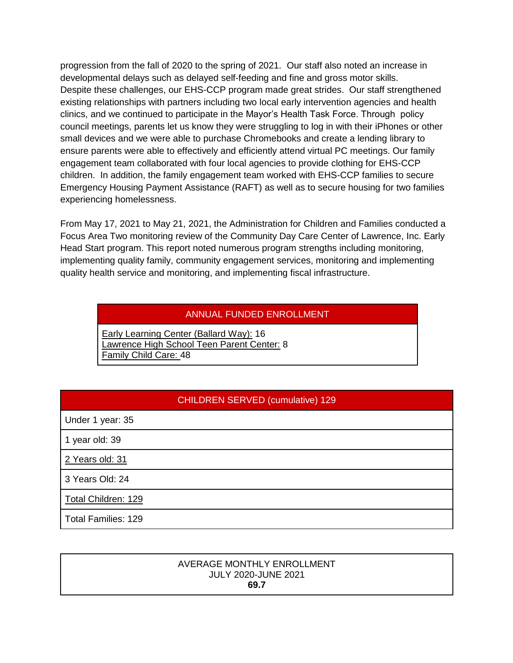progression from the fall of 2020 to the spring of 2021. Our staff also noted an increase in developmental delays such as delayed self-feeding and fine and gross motor skills. Despite these challenges, our EHS-CCP program made great strides. Our staff strengthened existing relationships with partners including two local early intervention agencies and health clinics, and we continued to participate in the Mayor's Health Task Force. Through policy council meetings, parents let us know they were struggling to log in with their iPhones or other small devices and we were able to purchase Chromebooks and create a lending library to ensure parents were able to effectively and efficiently attend virtual PC meetings. Our family engagement team collaborated with four local agencies to provide clothing for EHS-CCP children. In addition, the family engagement team worked with EHS-CCP families to secure Emergency Housing Payment Assistance (RAFT) as well as to secure housing for two families experiencing homelessness.

From May 17, 2021 to May 21, 2021, the Administration for Children and Families conducted a Focus Area Two monitoring review of the Community Day Care Center of Lawrence, Inc. Early Head Start program. This report noted numerous program strengths including monitoring, implementing quality family, community engagement services, monitoring and implementing quality health service and monitoring, and implementing fiscal infrastructure.

#### ANNUAL FUNDED ENROLLMENT

Early Learning Center (Ballard Way): 16 Lawrence High School Teen Parent Center: 8 Family Child Care: 48

#### CHILDREN SERVED (cumulative) 129

Under 1 year: 35

1 year old: 39

2 Years old: 31

3 Years Old: 24

Total Children: 129

Total Families: 129

#### AVERAGE MONTHLY ENROLLMENT JULY 2020-JUNE 2021 **69.7**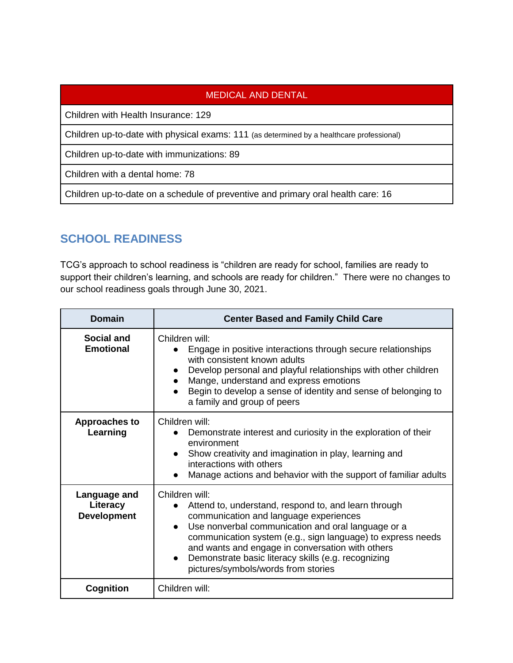### MEDICAL AND DENTAL

Children with Health Insurance: 129

Children up-to-date with physical exams: 111 (as determined by a healthcare professional)

Children up-to-date with immunizations: 89

Children with a dental home: 78

Children up-to-date on a schedule of preventive and primary oral health care: 16

# **SCHOOL READINESS**

TCG's approach to school readiness is "children are ready for school, families are ready to support their children's learning, and schools are ready for children." There were no changes to our school readiness goals through June 30, 2021.

| <b>Domain</b>                                  | <b>Center Based and Family Child Care</b>                                                                                                                                                                                                                                                                                                                                                                         |  |
|------------------------------------------------|-------------------------------------------------------------------------------------------------------------------------------------------------------------------------------------------------------------------------------------------------------------------------------------------------------------------------------------------------------------------------------------------------------------------|--|
| <b>Social and</b><br><b>Emotional</b>          | Children will:<br>Engage in positive interactions through secure relationships<br>with consistent known adults<br>Develop personal and playful relationships with other children<br>Mange, understand and express emotions<br>Begin to develop a sense of identity and sense of belonging to<br>a family and group of peers                                                                                       |  |
| <b>Approaches to</b><br>Learning               | Children will:<br>Demonstrate interest and curiosity in the exploration of their<br>environment<br>Show creativity and imagination in play, learning and<br>$\bullet$<br>interactions with others<br>Manage actions and behavior with the support of familiar adults                                                                                                                                              |  |
| Language and<br>Literacy<br><b>Development</b> | Children will:<br>Attend to, understand, respond to, and learn through<br>communication and language experiences<br>Use nonverbal communication and oral language or a<br>$\bullet$<br>communication system (e.g., sign language) to express needs<br>and wants and engage in conversation with others<br>Demonstrate basic literacy skills (e.g. recognizing<br>$\bullet$<br>pictures/symbols/words from stories |  |
| Cognition                                      | Children will:                                                                                                                                                                                                                                                                                                                                                                                                    |  |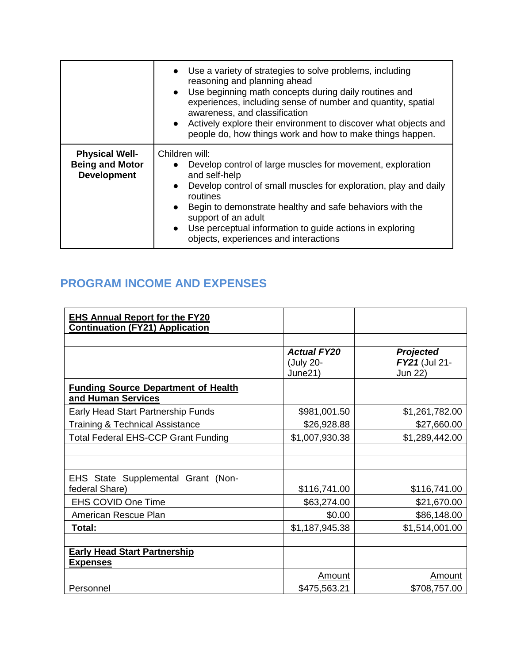|                                                                       | Use a variety of strategies to solve problems, including<br>reasoning and planning ahead<br>Use beginning math concepts during daily routines and<br>$\bullet$<br>experiences, including sense of number and quantity, spatial<br>awareness, and classification<br>Actively explore their environment to discover what objects and<br>$\bullet$<br>people do, how things work and how to make things happen.              |
|-----------------------------------------------------------------------|---------------------------------------------------------------------------------------------------------------------------------------------------------------------------------------------------------------------------------------------------------------------------------------------------------------------------------------------------------------------------------------------------------------------------|
| <b>Physical Well-</b><br><b>Being and Motor</b><br><b>Development</b> | Children will:<br>Develop control of large muscles for movement, exploration<br>$\bullet$<br>and self-help<br>Develop control of small muscles for exploration, play and daily<br>$\bullet$<br>routines<br>Begin to demonstrate healthy and safe behaviors with the<br>$\bullet$<br>support of an adult<br>Use perceptual information to guide actions in exploring<br>$\bullet$<br>objects, experiences and interactions |

# **PROGRAM INCOME AND EXPENSES**

| <b>EHS Annual Report for the FY20</b><br><b>Continuation (FY21) Application</b> |                                            |                                              |
|---------------------------------------------------------------------------------|--------------------------------------------|----------------------------------------------|
|                                                                                 |                                            |                                              |
|                                                                                 | <b>Actual FY20</b><br>(July 20-<br>June21) | <b>Projected</b><br>FY21 (Jul 21-<br>Jun 22) |
| <b>Funding Source Department of Health</b><br>and Human Services                |                                            |                                              |
| Early Head Start Partnership Funds                                              | \$981,001.50                               | \$1,261,782.00                               |
| <b>Training &amp; Technical Assistance</b>                                      | \$26,928.88                                | \$27,660.00                                  |
| <b>Total Federal EHS-CCP Grant Funding</b>                                      | \$1,007,930.38                             | \$1,289,442.00                               |
|                                                                                 |                                            |                                              |
|                                                                                 |                                            |                                              |
| EHS State Supplemental Grant (Non-<br>federal Share)                            | \$116,741.00                               | \$116,741.00                                 |
| <b>EHS COVID One Time</b>                                                       | \$63,274.00                                | \$21,670.00                                  |
| American Rescue Plan                                                            | \$0.00                                     | \$86,148.00                                  |
| Total:                                                                          | \$1,187,945.38                             | \$1,514,001.00                               |
|                                                                                 |                                            |                                              |
| <b>Early Head Start Partnership</b><br><b>Expenses</b>                          |                                            |                                              |
|                                                                                 | Amount                                     | <b>Amount</b>                                |
| Personnel                                                                       | \$475,563.21                               | \$708,757.00                                 |